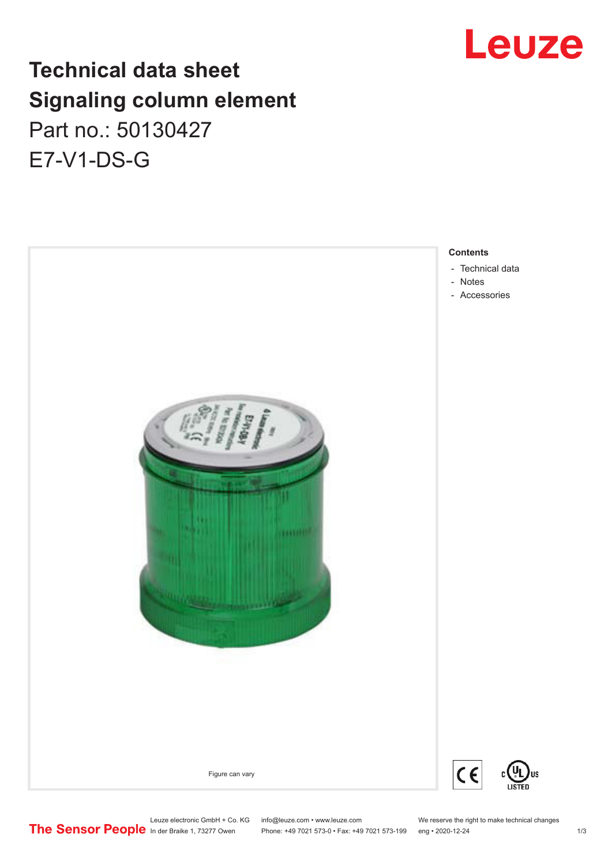# Leuze

# **Technical data sheet Signaling column element** Part no.: 50130427 E7-V1-DS-G

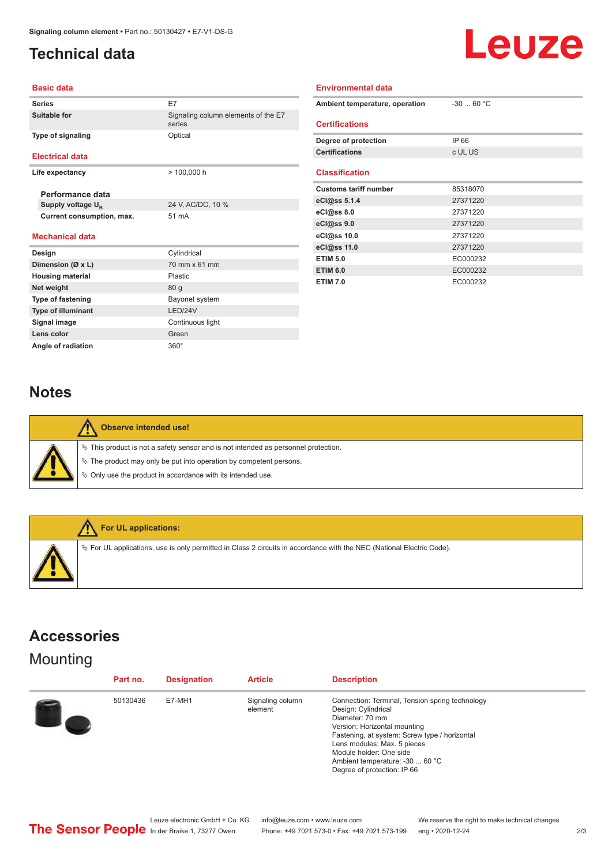## <span id="page-1-0"></span>**Technical data**



#### **Basic data**

| <b>Series</b>                 | E7                                            |  |  |
|-------------------------------|-----------------------------------------------|--|--|
| Suitable for                  | Signaling column elements of the E7<br>series |  |  |
| <b>Type of signaling</b>      | Optical                                       |  |  |
| <b>Electrical data</b>        |                                               |  |  |
| Life expectancy               | $> 100,000$ h                                 |  |  |
| Performance data              |                                               |  |  |
| Supply voltage U <sub>R</sub> | 24 V, AC/DC, 10 %                             |  |  |
| Current consumption, max.     | 51 mA                                         |  |  |
| <b>Mechanical data</b>        |                                               |  |  |
| Design                        | Cylindrical                                   |  |  |
| Dimension (Ø x L)             | 70 mm x 61 mm                                 |  |  |
| <b>Housing material</b>       | Plastic                                       |  |  |
| Net weight                    | 80 <sub>g</sub>                               |  |  |
| <b>Type of fastening</b>      | Bayonet system                                |  |  |
| <b>Type of illuminant</b>     | <b>I FD/24V</b>                               |  |  |
| Signal image                  | Continuous light                              |  |  |
| Lens color                    | Green                                         |  |  |

| Environmental data             |             |  |  |  |  |
|--------------------------------|-------------|--|--|--|--|
| Ambient temperature, operation | $-30$ 60 °C |  |  |  |  |
| <b>Certifications</b>          |             |  |  |  |  |
| Degree of protection           | IP 66       |  |  |  |  |
| <b>Certifications</b>          | c UL US     |  |  |  |  |
| <b>Classification</b>          |             |  |  |  |  |
| <b>Customs tariff number</b>   | 85318070    |  |  |  |  |
| eCl@ss $5.1.4$                 | 27371220    |  |  |  |  |
| eCl@ss 8.0                     | 27371220    |  |  |  |  |
| eCl@ss 9.0                     | 27371220    |  |  |  |  |
| eCl@ss 10.0                    | 27371220    |  |  |  |  |
| eCl@ss 11.0                    | 27371220    |  |  |  |  |
| <b>ETIM 5.0</b>                | EC000232    |  |  |  |  |
| <b>ETIM 6.0</b>                | EC000232    |  |  |  |  |
| <b>ETIM 7.0</b>                | EC000232    |  |  |  |  |

#### **Notes**

Angle of radiation 360°

| Observe intended use!                                                                                                                                                                                                            |
|----------------------------------------------------------------------------------------------------------------------------------------------------------------------------------------------------------------------------------|
| $\%$ This product is not a safety sensor and is not intended as personnel protection.<br>$\&$ The product may only be put into operation by competent persons.<br>$\%$ Only use the product in accordance with its intended use. |



### **Accessories**

### **Mounting**

| Part no. | <b>Designation</b> | <b>Article</b>              | <b>Description</b>                                                                                                                                                                                                                                                                                     |
|----------|--------------------|-----------------------------|--------------------------------------------------------------------------------------------------------------------------------------------------------------------------------------------------------------------------------------------------------------------------------------------------------|
| 50130436 | E7-MH1             | Signaling column<br>element | Connection: Terminal, Tension spring technology<br>Design: Cylindrical<br>Diameter: 70 mm<br>Version: Horizontal mounting<br>Fastening, at system: Screw type / horizontal<br>Lens modules: Max. 5 pieces<br>Module holder: One side<br>Ambient temperature: -30  60 °C<br>Degree of protection: IP 66 |